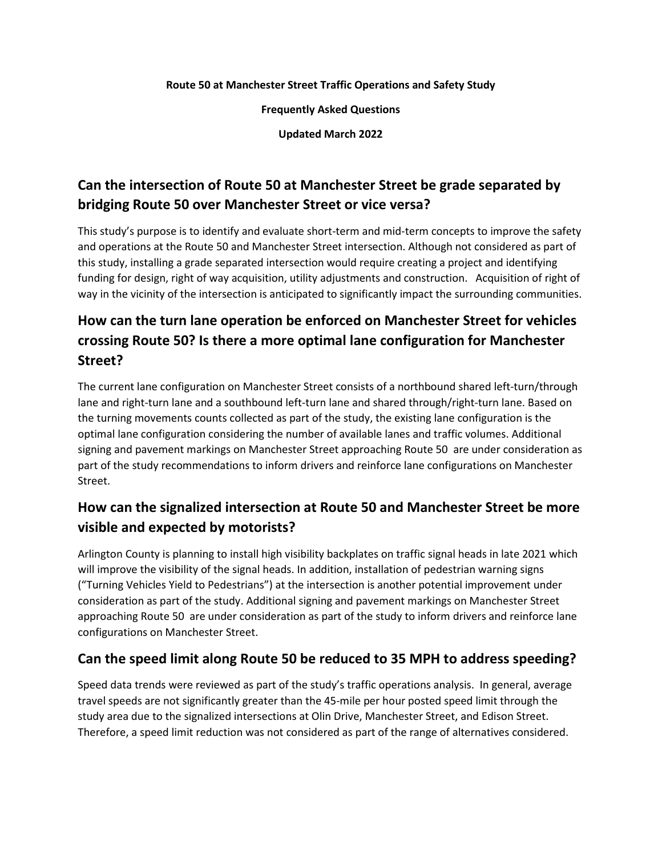#### **Route 50 at Manchester Street Traffic Operations and Safety Study**

**Frequently Asked Questions**

**Updated March 2022**

## **Can the intersection of Route 50 at Manchester Street be grade separated by bridging Route 50 over Manchester Street or vice versa?**

This study's purpose is to identify and evaluate short-term and mid-term concepts to improve the safety and operations at the Route 50 and Manchester Street intersection. Although not considered as part of this study, installing a grade separated intersection would require creating a project and identifying funding for design, right of way acquisition, utility adjustments and construction. Acquisition of right of way in the vicinity of the intersection is anticipated to significantly impact the surrounding communities.

# **How can the turn lane operation be enforced on Manchester Street for vehicles crossing Route 50? Is there a more optimal lane configuration for Manchester Street?**

The current lane configuration on Manchester Street consists of a northbound shared left-turn/through lane and right-turn lane and a southbound left-turn lane and shared through/right-turn lane. Based on the turning movements counts collected as part of the study, the existing lane configuration is the optimal lane configuration considering the number of available lanes and traffic volumes. Additional signing and pavement markings on Manchester Street approaching Route 50 are under consideration as part of the study recommendations to inform drivers and reinforce lane configurations on Manchester Street.

### **How can the signalized intersection at Route 50 and Manchester Street be more visible and expected by motorists?**

Arlington County is planning to install high visibility backplates on traffic signal heads in late 2021 which will improve the visibility of the signal heads. In addition, installation of pedestrian warning signs ("Turning Vehicles Yield to Pedestrians") at the intersection is another potential improvement under consideration as part of the study. Additional signing and pavement markings on Manchester Street approaching Route 50 are under consideration as part of the study to inform drivers and reinforce lane configurations on Manchester Street.

#### **Can the speed limit along Route 50 be reduced to 35 MPH to address speeding?**

Speed data trends were reviewed as part of the study's traffic operations analysis. In general, average travel speeds are not significantly greater than the 45-mile per hour posted speed limit through the study area due to the signalized intersections at Olin Drive, Manchester Street, and Edison Street. Therefore, a speed limit reduction was not considered as part of the range of alternatives considered.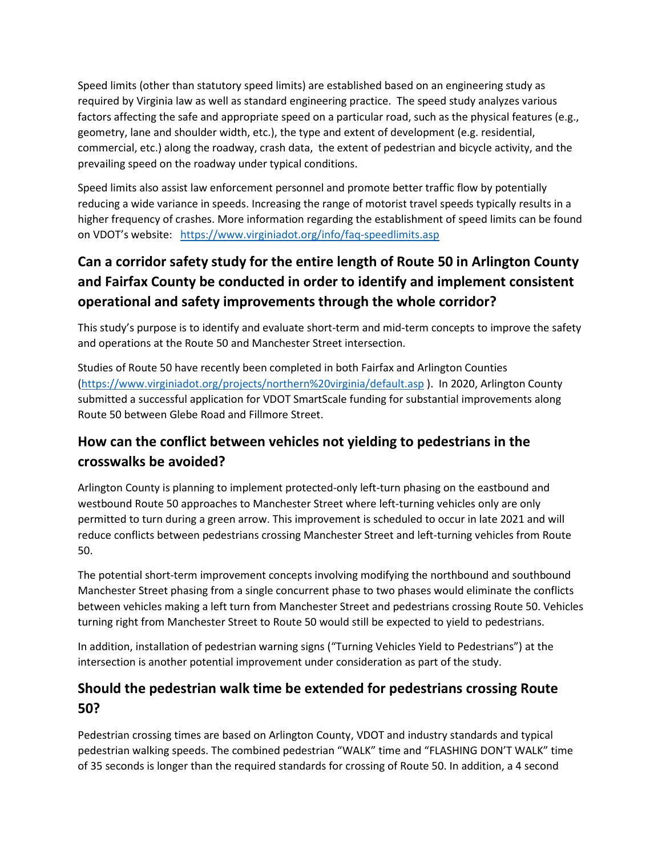Speed limits (other than statutory speed limits) are established based on an engineering study as required by Virginia law as well as standard engineering practice. The speed study analyzes various factors affecting the safe and appropriate speed on a particular road, such as the physical features (e.g., geometry, lane and shoulder width, etc.), the type and extent of development (e.g. residential, commercial, etc.) along the roadway, crash data, the extent of pedestrian and bicycle activity, and the prevailing speed on the roadway under typical conditions.

Speed limits also assist law enforcement personnel and promote better traffic flow by potentially reducing a wide variance in speeds. Increasing the range of motorist travel speeds typically results in a higher frequency of crashes. More information regarding the establishment of speed limits can be found on VDOT's website: <https://www.virginiadot.org/info/faq-speedlimits.asp>

# **Can a corridor safety study for the entire length of Route 50 in Arlington County and Fairfax County be conducted in order to identify and implement consistent operational and safety improvements through the whole corridor?**

This study's purpose is to identify and evaluate short-term and mid-term concepts to improve the safety and operations at the Route 50 and Manchester Street intersection.

Studies of Route 50 have recently been completed in both Fairfax and Arlington Counties [\(https://www.virginiadot.org/projects/northern%20virginia/default.asp](https://www.virginiadot.org/projects/northern%20virginia/default.asp) ). In 2020, Arlington County submitted a successful application for VDOT SmartScale funding for substantial improvements along Route 50 between Glebe Road and Fillmore Street.

## **How can the conflict between vehicles not yielding to pedestrians in the crosswalks be avoided?**

Arlington County is planning to implement protected-only left-turn phasing on the eastbound and westbound Route 50 approaches to Manchester Street where left-turning vehicles only are only permitted to turn during a green arrow. This improvement is scheduled to occur in late 2021 and will reduce conflicts between pedestrians crossing Manchester Street and left-turning vehicles from Route 50.

The potential short-term improvement concepts involving modifying the northbound and southbound Manchester Street phasing from a single concurrent phase to two phases would eliminate the conflicts between vehicles making a left turn from Manchester Street and pedestrians crossing Route 50. Vehicles turning right from Manchester Street to Route 50 would still be expected to yield to pedestrians.

In addition, installation of pedestrian warning signs ("Turning Vehicles Yield to Pedestrians") at the intersection is another potential improvement under consideration as part of the study.

#### **Should the pedestrian walk time be extended for pedestrians crossing Route 50?**

Pedestrian crossing times are based on Arlington County, VDOT and industry standards and typical pedestrian walking speeds. The combined pedestrian "WALK" time and "FLASHING DON'T WALK" time of 35 seconds is longer than the required standards for crossing of Route 50. In addition, a 4 second